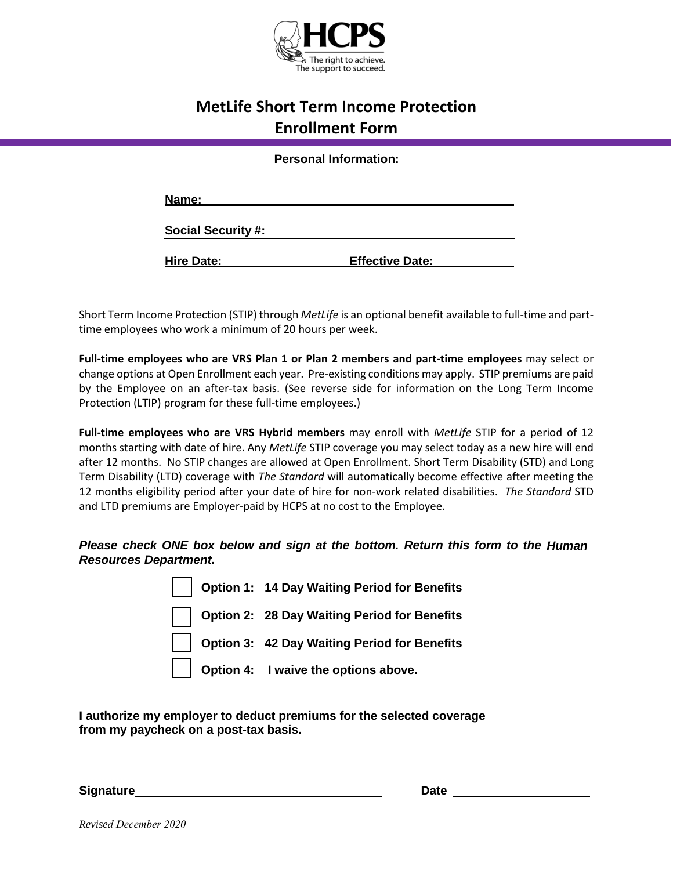

## **MetLife Short Term Income Protection Enrollment Form**

**Personal Information:**

| Name:                     |                        |
|---------------------------|------------------------|
| <b>Social Security #:</b> |                        |
| <b>Hire Date:</b>         | <b>Effective Date:</b> |

Short Term Income Protection (STIP) through *MetLife* is an optional benefit available to full-time and parttime employees who work a minimum of 20 hours per week.

**Full-time employees who are VRS Plan 1 or Plan 2 members and part-time employees** may select or change options at Open Enrollment each year. Pre-existing conditions may apply. STIP premiums are paid by the Employee on an after-tax basis. (See reverse side for information on the Long Term Income Protection (LTIP) program for these full-time employees.)

**Full-time employees who are VRS Hybrid members** may enroll with *MetLife* STIP for a period of 12 months starting with date of hire. Any *MetLife* STIP coverage you may select today as a new hire will end after 12 months. No STIP changes are allowed at Open Enrollment. Short Term Disability (STD) and Long Term Disability (LTD) coverage with *The Standard* will automatically become effective after meeting the 12 months eligibility period after your date of hire for non-work related disabilities. *The Standard* STD and LTD premiums are Employer-paid by HCPS at no cost to the Employee.

*Please check ONE box below and sign at the bottom. Return this form to the Human Resources Department.*

|  | Option 1: 14 Day Waiting Period for Benefits |
|--|----------------------------------------------|
|  | Option 2: 28 Day Waiting Period for Benefits |
|  | Option 3: 42 Day Waiting Period for Benefits |
|  | <b>Option 4:</b> I waive the options above.  |

**I authorize my employer to deduct premiums for the selected coverage from my paycheck on a post-tax basis.**

**Signature Date**